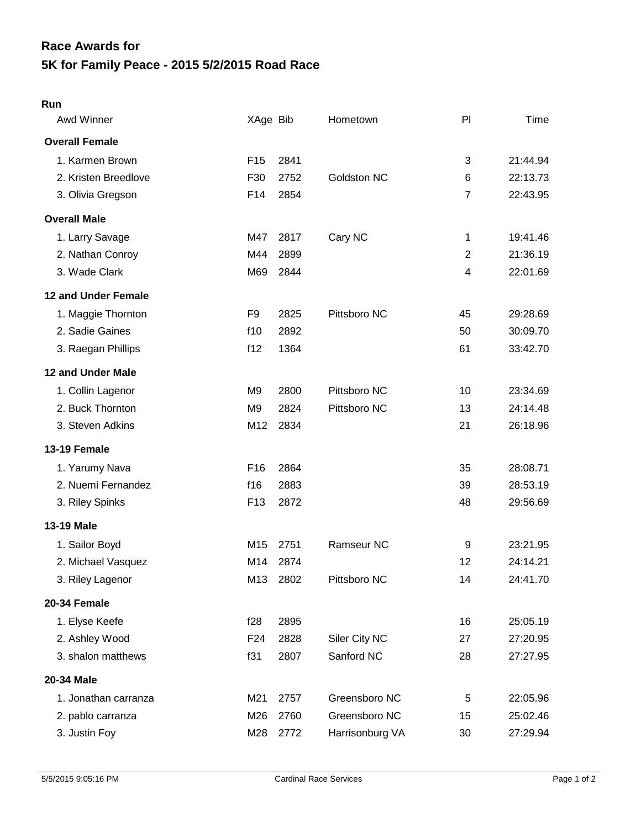## **5K for Family Peace - 2015 5/2/2015 Road Race Race Awards for**

## **Run**

| Awd Winner            | XAge Bib        |      | Hometown        | P              | Time     |
|-----------------------|-----------------|------|-----------------|----------------|----------|
| <b>Overall Female</b> |                 |      |                 |                |          |
| 1. Karmen Brown       | F <sub>15</sub> | 2841 |                 | 3              | 21:44.94 |
| 2. Kristen Breedlove  | F30             | 2752 | Goldston NC     | 6              | 22:13.73 |
| 3. Olivia Gregson     | F14             | 2854 |                 | $\overline{7}$ | 22:43.95 |
| <b>Overall Male</b>   |                 |      |                 |                |          |
| 1. Larry Savage       | M47             | 2817 | Cary NC         | 1              | 19:41.46 |
| 2. Nathan Conroy      | M44             | 2899 |                 | $\overline{2}$ | 21:36.19 |
| 3. Wade Clark         | M69             | 2844 |                 | $\overline{4}$ | 22:01.69 |
| 12 and Under Female   |                 |      |                 |                |          |
| 1. Maggie Thornton    | F9              | 2825 | Pittsboro NC    | 45             | 29:28.69 |
| 2. Sadie Gaines       | f10             | 2892 |                 | 50             | 30:09.70 |
| 3. Raegan Phillips    | f12             | 1364 |                 | 61             | 33:42.70 |
| 12 and Under Male     |                 |      |                 |                |          |
| 1. Collin Lagenor     | M <sub>9</sub>  | 2800 | Pittsboro NC    | 10             | 23:34.69 |
| 2. Buck Thornton      | M <sub>9</sub>  | 2824 | Pittsboro NC    | 13             | 24:14.48 |
| 3. Steven Adkins      | M12             | 2834 |                 | 21             | 26:18.96 |
| 13-19 Female          |                 |      |                 |                |          |
| 1. Yarumy Nava        | F <sub>16</sub> | 2864 |                 | 35             | 28:08.71 |
| 2. Nuemi Fernandez    | f16             | 2883 |                 | 39             | 28:53.19 |
| 3. Riley Spinks       | F <sub>13</sub> | 2872 |                 | 48             | 29:56.69 |
| 13-19 Male            |                 |      |                 |                |          |
| 1. Sailor Boyd        | M15             | 2751 | Ramseur NC      | 9              | 23:21.95 |
| 2. Michael Vasquez    | M14             | 2874 |                 | 12             | 24:14.21 |
| 3. Riley Lagenor      | M13             | 2802 | Pittsboro NC    | 14             | 24:41.70 |
| 20-34 Female          |                 |      |                 |                |          |
| 1. Elyse Keefe        | f28             | 2895 |                 | 16             | 25:05.19 |
| 2. Ashley Wood        | F24             | 2828 | Siler City NC   | 27             | 27:20.95 |
| 3. shalon matthews    | f31             | 2807 | Sanford NC      | 28             | 27:27.95 |
| 20-34 Male            |                 |      |                 |                |          |
| 1. Jonathan carranza  | M21             | 2757 | Greensboro NC   | 5              | 22:05.96 |
| 2. pablo carranza     | M26             | 2760 | Greensboro NC   | 15             | 25:02.46 |
| 3. Justin Foy         | M28             | 2772 | Harrisonburg VA | 30             | 27:29.94 |